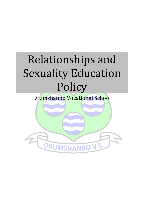# Relationships and Sexuality Education Policy

Drumshanbo Vocational School

DRUMSHANBO V.S.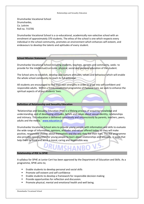#### Relationships and Sexuality Education

Drumshanbo Vocational School Drumshanbo, Co. Leitrim Roll no. 71570S

Drumshanbo Vocational School is a co-educational, academically non-selective school with an enrolment of approximately 370 students. The ethos of the school is one which respects every individual in the school community, promotes an environment which enhances self-esteem, and endeavours to develop the talents and aptitudes of every student.

# **School Mission Statement**

Drumshanbo Vocational School including students, teachers, parents and community, seeks to provide for the intellectual/curricular, physical, social and personal education of the student.

The School aims to establish, develop and nurture attitudes, values and behaviour which will enable the whole school community to reach its full potential.

All students are encouraged to find their own strengths in order to grow into self-confident and responsible adults. Within a firmly established programme of Pastoral Care, we seek to enhance the spiritual aspects of all our students' lives.

# **Definition of Relationship and Sexuality Education**

'Relationships and Sexuality Education (RSE) is a lifelong process of acquiring knowledge and understanding, and of developing attitudes, beliefs and values about sexual identity, relationships and intimacy. This education is delivered consciously and unconsciously by parents, teachers, peers, adults and the media.*' [www.education.ie](http://www.education.ie/)*

Drumshanbo Vocational School aims to provide young people with information and skills to evaluate the wide range of information, opinions, attitudes and values offered today, so they will make positive, responsible choices about themselves and the way they live their lives. The RSE programme also provides opportunities for young people to learn about relationships and sexuality, in ways that help them to think and act in a moral, caring and responsible way.

#### **Relationship of RSE to SPHE**

A syllabus for SPHE at Junior Cert has been approved by the Department of Education and Skills. As a programme, SPHE aims to;

- Enable students to develop personal and social skills
- Promote self-esteem and self-confidence
- **Enable students to develop a framework for responsible decision making**

RUMSHAI

- **Provide opportunities for reflection and discussion.**
- Promote physical, mental and emotional health and well being.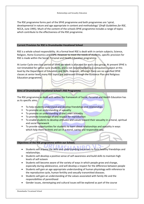The RSE programme forms part of the SPHE programme and both programmes are 'spiral, developmental in nature and age appropriate in content and methodology' (*Draft Guidelines for RSE*, NCCA, June 1995). Much of the content of the schools SPHE programme includes a range of topics which contribute to the effectiveness of the RSE programme.

## **Current Provision for RSE in Drumshanbo Vocational School**

RSE is a whole school responsibility. At a formal level RSE is dealt with in certain subjects; Science, Religion, Home Economics and CSPE. However to meet the needs of students, specific provision for RSE is made within the Social, Personal and Health Education programme.

At Junior Cycle one class period of SPHE per week is allocated for each class group. At present SPHE is not timetabled for senior cycle students, and is not recommended as a compulsory subject at this level by the Department of Education and Skills. However, although there are no specified SPHE classes at senior level, many RSE topics are addressed through the Guidance Plan and Religious Education programme.

# **Aims of Drumshanbo Vocational School's RSE Programme**

The RSE programme as dealt with within the framework of Social, Personal and Health Education has as its specific aims;

- To help students understand and develop friendships and relationships
- To promote an understanding of sexuality
- To promote an understanding of one's own sexuality
- To promote knowledge of and respect for reproduction
- To enable students to develop attitudes and values toward their sexuality in a moral, spiritual and social framework
- To provide opportunities for students to learn about relationships and sexuality in ways which help them to think and act in a moral, caring and responsible way.

# **Objectives of the RSE programme within our School;**

- Students will acquire the skills and understanding necessary to form healthy friendships and relationships.
- Students will develop a positive sense of self awareness and build skills to maintain high levels of self esteem
- Students will become aware of the variety of ways in which people grow and change, especially during adolescence, and will develop a respect for the difference between people
- Students will gain an age appropriate understanding of human physiology with reference to the reproductive cycle, human fertility and sexually transmitted diseases.
- Students will gain an understanding of the values associated with family life and the responsibilities of parenthood
- Gender issues, stereotyping and cultural issues will be explored as part of the course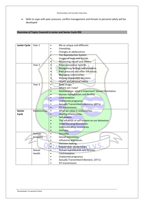Skills to cope with peer pressure, conflict management and threats to personal safety will be developed

# **Overview of Topics Covered in Junior and Senior Cycle RSE**

| <b>Junior Cycle</b> | Year 1               | Me as unique and different.                          |
|---------------------|----------------------|------------------------------------------------------|
|                     |                      | Friendship.                                          |
|                     |                      | Changes at adolescence.                              |
|                     |                      | The Reproductive System.                             |
|                     |                      | Images of male and female.                           |
|                     |                      | Respecting myself and others.                        |
|                     | Year <sub>2</sub>    | From conception to birth.                            |
|                     |                      | Recognising feelings and emotions.                   |
|                     |                      | Peer pressure and other influences.                  |
|                     |                      | Managing relationships.                              |
|                     |                      | Making responsible decisions.                        |
|                     |                      | Health and personal safety.<br>$\bullet$             |
|                     | Year 3               | Body image.                                          |
|                     |                      | Where am I now?                                      |
|                     |                      | Relationships- what is important? Sexual Orientation |
|                     |                      | Human reproduction and fertility.                    |
|                     |                      | Contraception.                                       |
|                     |                      | Unplanned pregnancy.                                 |
|                     |                      | Sexually Transmitted Infections. (STI's)             |
|                     |                      | STI transmission.                                    |
| <b>Senior</b>       | <b>Relationships</b> | What we value in relationships.                      |
| Cycle               |                      | <b>Healthy relationships.</b>                        |
|                     |                      | Self-esteem.                                         |
|                     |                      | The influence of self-esteem on our behaviour        |
|                     |                      | <b>Understanding boundaries.</b>                     |
|                     |                      | <b>Communicating boundaries.</b>                     |
|                     |                      | Intimacy.                                            |
|                     | <b>Human</b>         | Sexuality.                                           |
|                     | Sexuality            | Sexual orientation.                                  |
|                     |                      | Influences and values.                               |
|                     |                      | Decision making.                                     |
|                     |                      | Responsible relationships.                           |
|                     | Sexual               | Human reproduction and fertility.                    |
|                     | Health               | Contraception.                                       |
|                     |                      | Unplanned pregnancy.                                 |
|                     |                      | Sexually Transmitted Infections. (STI's)             |
|                     |                      | STI transmission.                                    |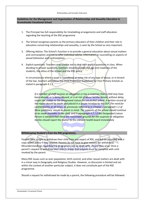# **Guidelines for the Management and Organisation of Relationships and Sexuality Education in Drumshanbo Vocational School**

- 1. The Principal has full responsibility for timetabling arrangements and staff allocation regarding the teaching of the RSE programme
- 2. The School recognises parents as the primary educators of their children and their role in education concerning relationships and sexuality, is seen by the School as very important.
- 3. Offering Advice: The School's function is to provide a general education about sexual matters and contraception and not to offer individual advise, information or counselling on aspects of sexual behaviour and contraception.
- 4. Explicit questions: Teachers may choose not to deal with explicit questions in class. When deciding to answer questions, teachers should consider the age and readiness of the students, the ethos of the School and the RSE policy.

In circumstances where a pupil is considered at some risk of any type of abuse, or in breach of the law, teachers will follow the Child Protection Guidelines for Post Primary Schools as stated in paragraph 4.1.1

*If a member of staff receives an allegation or has a suspicion that a child may have been abused, or is being abused, or is at risk of abuse he/she should, without delay, report the matter to the Designated Liaison Person in that school. A written record of the report should be made and placed in a secure location by the DLP. The need for confidentiality at all times, as previously referred to in Chapter 1 paragraph 1.2 of these guidelines, should be borne in mind. The supports of the school should continue to be made available to the child, and in paragraph 4.2.1 if the Designated Liaison Person is satisfied that there are reasonable grounds for the suspicion or allegation he/she should report the matter to the relevant health board immediately*

#### **Withdrawing Student's from the RSE programme.**

Parents have a right to withdraw their child from any aspect of RSE, and will be provided with a copy of this policy if they request. Parents do not have to give reasons for withdrawal. Misunderstandings regarding the programme will be dealt with, should they arise. Once a parent's request to withdraw their child is made, that request must be complied with until revoked by the parent.

Many RSE issues such as over-population, birth control, and other sexual matters are dealt with in a minor way in Geography and Religious Studies. However, as discussion is limited and set within the context of another particular subject, it does not constitute part of the RSE programme.

Should a request for withdrawal be made by a parent, the following procedure will be followed: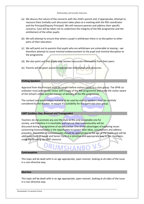- (a) We discuss the nature of the concerns with the child's parent and, if appropriate, attempt to reassure them (initially such discussion takes place at a meeting with the RSE coordinator and the Principal/Deputy Principal). We will reassure parents and address their specific concerns. Care will be taken not to undermine the integrity of the RSE programme and the entitlement of the other pupils.
- (b) We will attempt to ensure that where a pupil is withdrawn there is no disruption to other parts of their education.
- (c) We will point out to parents that pupils who are withdrawn are vulnerable to teasing we therefore attempt to cause minimal embarrassment to the pupil and minimal disruption to the programme.
- (d) We also point out that pupils may receive inaccurate information from their peers
- (e) Parents will be given access to appropriate information and resources.

#### **Visiting Speakers**

Approval from the Principal must be sought before visitors speak to a class group. The SPHE coordinator must provide the visitor with a copy of the RSE programme and make the visitor aware of the School's ethos and the manner of delivery of the RSE programme.

The content and **presentation material to be used by visiting speakers must be carefully** considered by the teacher, to ensure it's suitability for the particular class group.

#### **LGBT (Lesbian, Gay, Bisexual and Transgender)**

Teachers do not promote any one life-style as the only acceptable one for society, and therefore it is inevitable and natural, that homosexuality will be discussed during a programme of sex education. One of the advantages of exploring issues concerning homosexuality is the opportunity to correct false ideas, assumptions and address prejudice. Discussion of homosexuality should be appropriate to the age of the pupils and will be addressed both at Junior and Senior Cycle in a sensitive and appropriate way in the classroom, using the Growing Up LGBT resource.

#### **Contraception**

This topic will be dealt with in an age appropriate, open manner, looking at all sides of the issue in a non-directive way.

DRUMSHANBO V.S.

#### **Abortion**

This topic will be dealt with in an age appropriate, open manner, looking at all sides of the issue in a non-directive way.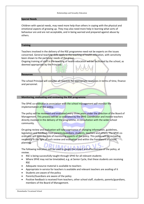#### **Special Needs**

Children with special needs, may need more help than others in coping with the physical and emotional aspects of growing up. They may also need more help in learning what sorts of behaviour are and are not acceptable, and in being warned and prepared against abuse by others.

# **Training**

Teachers involved in the delivery of the RSE programme need not be experts on the issues concerned. General teaching skills apply to the teaching of health education, with sensitivity been shown to the particular needs of the group.

Ongoing training of staff in the teaching of health education will be facilitated by the school, as deemed appropriate by the Principal.

#### **Resources**

The school Principal will consider all requests for appropriate resources in terms of time, finance and personnel.

### **Monitoring, evaluating and reviewing the RSE programme**

The SPHE co-ordinator in association with the school management will monitor the implementation of this policy.

The policy will be reviewed and evaluated every three years under the direction of the Board of Management. This process will be co-ordinated by the SPHE Coordinator and involve teachers directly involved in the delivery of the programme, in consultation with the wider school community.

On-going review and evaluation will take cognisance of changing information, guidelines, legislation and feedback from parents/guardians, students, teachers and others. The SPHE coordinator will have the role of monitoring aspects of the policy. This policy will be revised as necessary in the light of such review and evaluation and within the framework of school planning.

The following indicators will be used to gauge the impact and effectiveness of the policy, at review.

- RSE is being successfully taught through SPHE for all relevant students
- Where SPHE may not be timetabled, e.g. at Senior Cycle, that these students are receiving RSE
- Adequate resource material is available to teachers
- Appropriate in-service for teachers is available and relevant teachers are availing of it
- Students are aware of the policy
- Parents/Guardians are aware of the policy
- Positive feedback is received from teachers, other school staff, students, parents/guardians, members of the Board of Management.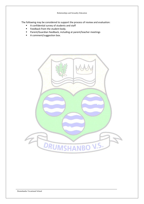The following may be considered to support the process of review and evaluation:

- A confidential survey of students and staff
- **Feedback from the student body.**
- Parent/Guardian feedback, including at parent/teacher meetings
- **A** comment/suggestion box.